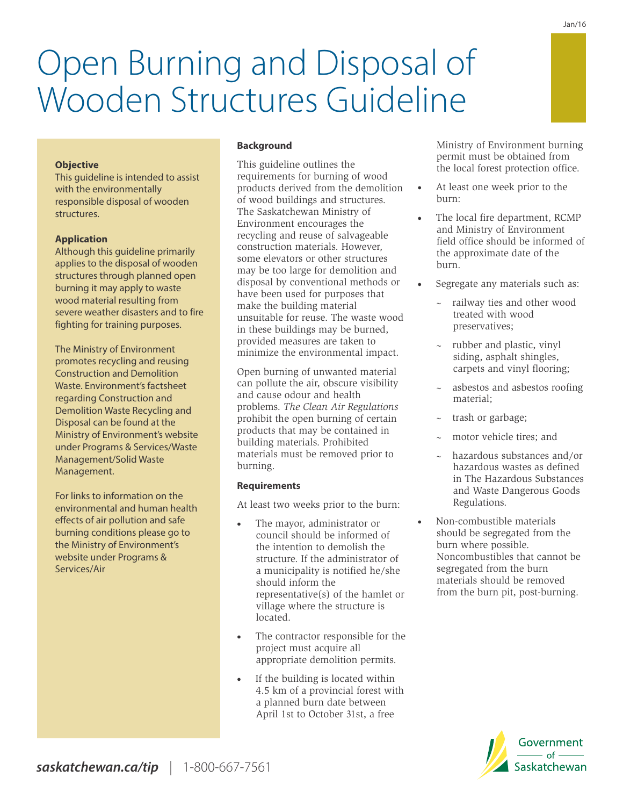

### **Requirements**

At least two weeks prior to the burn:

problems. *The Clean Air Regulations* 

unsuitable for reuse. The waste wood in these buildings may be burned, provided measures are taken to minimize the environmental impact. Open burning of unwanted material can pollute the air, obscure visibility

and cause odour and health

- · The mayor, administrator or council should be informed of the intention to demolish the structure. If the administrator of a municipality is notified he/she should inform the representative(s) of the hamlet or village where the structure is located.
- The contractor responsible for the project must acquire all appropriate demolition permits.
- If the building is located within 4.5 km of a provincial forest with a planned burn date between April 1st to October 31st, a free

Ministry of Environment burning permit must be obtained from the local forest protection office.

- At least one week prior to the burn:
- The local fire department, RCMP and Ministry of Environment field office should be informed of the approximate date of the burn.
- Segregate any materials such as:
	- railway ties and other wood treated with wood preservatives;
	- rubber and plastic, vinyl siding, asphalt shingles, carpets and vinyl flooring;
	- asbestos and asbestos roofing material;
	- ~ trash or garbage;
	- motor vehicle tires; and
	- ~ hazardous substances and/or hazardous wastes as defined in The Hazardous Substances and Waste Dangerous Goods Regulations.
- · Non-combustible materials should be segregated from the burn where possible. Noncombustibles that cannot be segregated from the burn materials should be removed from the burn pit, post-burning.

 $-$  of  $-$ 

# Open Burning and Disposal of Wooden Structures Guideline

**Background**

This guideline outlines the requirements for burning of wood products derived from the demolition of wood buildings and structures. The Saskatchewan Ministry of Environment encourages the recycling and reuse of salvageable construction materials. However, some elevators or other structures may be too large for demolition and disposal by conventional methods or have been used for purposes that make the building material

#### **Objective**

This guideline is intended to assist with the environmentally responsible disposal of wooden structures.

#### **Application**

Although this guideline primarily applies to the disposal of wooden structures through planned open burning it may apply to waste wood material resulting from severe weather disasters and to fire fighting for training purposes.

The Ministry of Environment promotes recycling and reusing Construction and Demolition Waste. Environment's factsheet regarding Construction and Demolition Waste Recycling and Management.

For links to information on the environmental and human health effects of air pollution and safe burning conditions please go to the Ministry of Environment's website under Programs & Services/Air